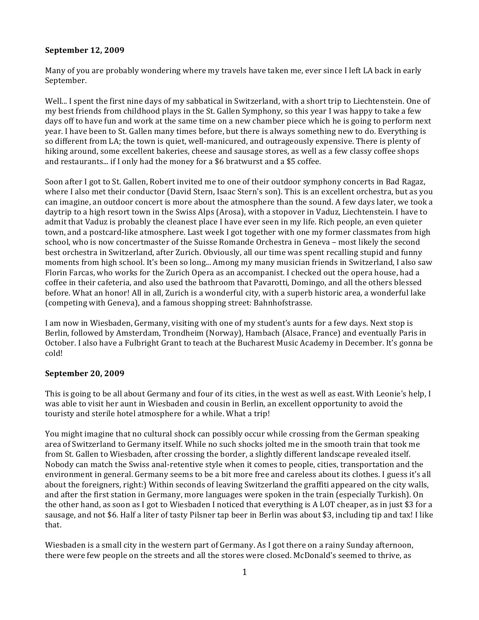# September 12, 2009

Many of you are probably wondering where my travels have taken me, ever since I left LA back in early September.

Well... I spent the first nine days of my sabbatical in Switzerland, with a short trip to Liechtenstein. One of my best friends from childhood plays in the St. Gallen Symphony, so this year I was happy to take a few days off to have fun and work at the same time on a new chamber piece which he is going to perform next year. I have been to St. Gallen many times before, but there is always something new to do. Everything is so different from LA; the town is quiet, well-manicured, and outrageously expensive. There is plenty of hiking around, some excellent bakeries, cheese and sausage stores, as well as a few classy coffee shops and restaurants... if I only had the money for a \$6 bratwurst and a \$5 coffee.

Soon after I got to St. Gallen, Robert invited me to one of their outdoor symphony concerts in Bad Ragaz, where I also met their conductor (David Stern, Isaac Stern's son). This is an excellent orchestra, but as you can imagine, an outdoor concert is more about the atmosphere than the sound. A few days later, we took a daytrip to a high resort town in the Swiss Alps (Arosa), with a stopover in Vaduz, Liechtenstein. I have to admit that Vaduz is probably the cleanest place I have ever seen in my life. Rich people, an even quieter town, and a postcard-like atmosphere. Last week I got together with one my former classmates from high school, who is now concertmaster of the Suisse Romande Orchestra in Geneva – most likely the second best orchestra in Switzerland, after Zurich. Obviously, all our time was spent recalling stupid and funny moments from high school. It's been so long... Among my many musician friends in Switzerland, I also saw Florin Farcas, who works for the Zurich Opera as an accompanist. I checked out the opera house, had a coffee in their cafeteria, and also used the bathroom that Pavarotti, Domingo, and all the others blessed before. What an honor! All in all, Zurich is a wonderful city, with a superb historic area, a wonderful lake (competing with Geneva), and a famous shopping street: Bahnhofstrasse.

I am now in Wiesbaden, Germany, visiting with one of my student's aunts for a few days. Next stop is Berlin, followed by Amsterdam, Trondheim (Norway), Hambach (Alsace, France) and eventually Paris in October. I also have a Fulbright Grant to teach at the Bucharest Music Academy in December. It's gonna be cold!

### September 20, 2009

This is going to be all about Germany and four of its cities, in the west as well as east. With Leonie's help, I was able to visit her aunt in Wiesbaden and cousin in Berlin, an excellent opportunity to avoid the touristy and sterile hotel atmosphere for a while. What a trip!

You might imagine that no cultural shock can possibly occur while crossing from the German speaking area of Switzerland to Germany itself. While no such shocks jolted me in the smooth train that took me from St. Gallen to Wiesbaden, after crossing the border, a slightly different landscape revealed itself. Nobody can match the Swiss anal-retentive style when it comes to people, cities, transportation and the environment in general. Germany seems to be a bit more free and careless about its clothes. I guess it's all about the foreigners, right:) Within seconds of leaving Switzerland the graffiti appeared on the city walls, and after the first station in Germany, more languages were spoken in the train (especially Turkish). On the other hand, as soon as I got to Wiesbaden I noticed that everything is A LOT cheaper, as in just \$3 for a sausage, and not \$6. Half a liter of tasty Pilsner tap beer in Berlin was about \$3, including tip and tax! I like that.

Wiesbaden is a small city in the western part of Germany. As I got there on a rainy Sunday afternoon, there were few people on the streets and all the stores were closed. McDonald's seemed to thrive, as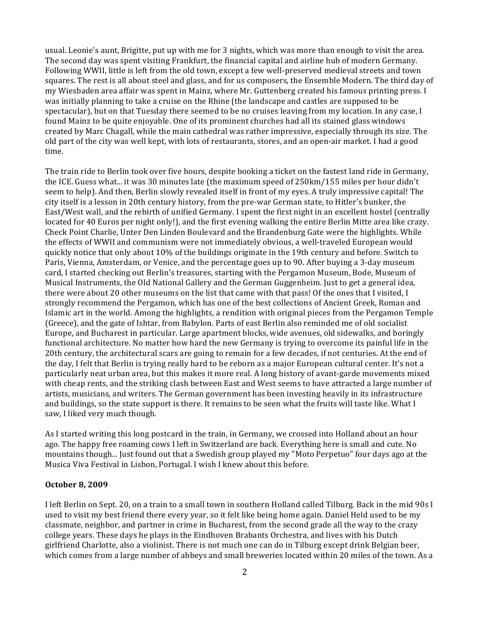usual. Leonie's aunt, Brigitte, put up with me for 3 nights, which was more than enough to visit the area. The second day was spent visiting Frankfurt, the financial capital and airline hub of modern Germany. Following WWII, little is left from the old town, except a few well-preserved medieval streets and town squares. The rest is all about steel and glass, and for us composers, the Ensemble Modern. The third day of my Wiesbaden area affair was spent in Mainz, where Mr. Guttenberg created his famous printing press. I was initially planning to take a cruise on the Rhine (the landscape and castles are supposed to be spectacular), but on that Tuesday there seemed to be no cruises leaving from my location. In any case, I found Mainz to be quite enjoyable. One of its prominent churches had all its stained glass windows created by Marc Chagall, while the main cathedral was rather impressive, especially through its size. The old part of the city was well kept, with lots of restaurants, stores, and an open-air market. I had a good time.

The train ride to Berlin took over five hours, despite booking a ticket on the fastest land ride in Germany, the ICE. Guess what... it was 30 minutes late (the maximum speed of 250km/155 miles per hour didn't seem to help). And then, Berlin slowly revealed itself in front of my eyes. A truly impressive capital! The city itself is a lesson in 20th century history, from the pre-war German state, to Hitler's bunker, the East/West wall, and the rebirth of unified Germany. I spent the first night in an excellent hostel (centrally located for 40 Euros per night only!), and the first evening walking the entire Berlin Mitte area like crazy. Check Point Charlie, Unter Den Linden Boulevard and the Brandenburg Gate were the highlights. While the effects of WWII and communism were not immediately obvious, a well-traveled European would quickly notice that only about 10% of the buildings originate in the 19th century and before. Switch to Paris, Vienna, Amsterdam, or Venice, and the percentage goes up to 90. After buying a 3-day museum card, I started checking out Berlin's treasures, starting with the Pergamon Museum, Bode, Museum of Musical Instruments, the Old National Gallery and the German Guggenheim. Just to get a general idea, there were about 20 other museums on the list that came with that pass! Of the ones that I visited, I strongly recommend the Pergamon, which has one of the best collections of Ancient Greek, Roman and Islamic art in the world. Among the highlights, a rendition with original pieces from the Pergamon Temple (Greece), and the gate of Ishtar, from Babylon. Parts of east Berlin also reminded me of old socialist Europe, and Bucharest in particular. Large apartment blocks, wide avenues, old sidewalks, and boringly functional architecture. No matter how hard the new Germany is trying to overcome its painful life in the 20th century, the architectural scars are going to remain for a few decades, if not centuries. At the end of the day, I felt that Berlin is trying really hard to be reborn as a major European cultural center. It's not a particularly neat urban area, but this makes it more real. A long history of avant-garde movements mixed with cheap rents, and the striking clash between East and West seems to have attracted a large number of artists, musicians, and writers. The German government has been investing heavily in its infrastructure and buildings, so the state support is there. It remains to be seen what the fruits will taste like. What I saw, I liked very much though.

As I started writing this long postcard in the train, in Germany, we crossed into Holland about an hour ago. The happy free roaming cows I left in Switzerland are back. Everything here is small and cute. No mountains though... Just found out that a Swedish group played my "Moto Perpetuo" four days ago at the Musica Viva Festival in Lisbon, Portugal. I wish I knew about this before.

#### **October 8, 2009**

I left Berlin on Sept. 20, on a train to a small town in southern Holland called Tilburg. Back in the mid 90s I used to visit my best friend there every year, so it felt like being home again. Daniel Held used to be my classmate, neighbor, and partner in crime in Bucharest, from the second grade all the way to the crazy college years. These days he plays in the Eindhoven Brabants Orchestra, and lives with his Dutch girlfriend Charlotte, also a violinist. There is not much one can do in Tilburg except drink Belgian beer, which comes from a large number of abbeys and small breweries located within 20 miles of the town. As a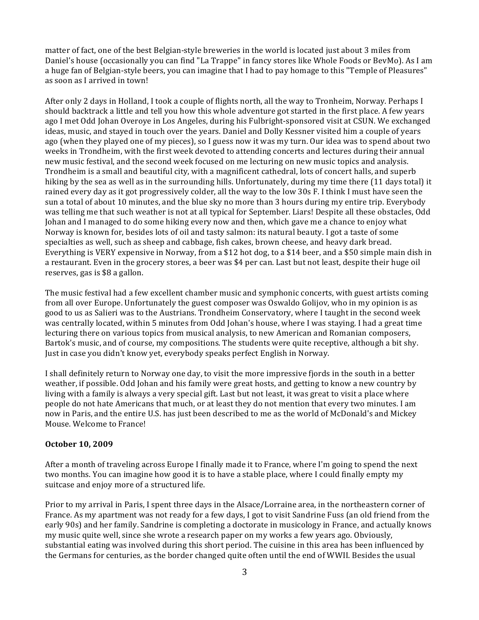matter of fact, one of the best Belgian-style breweries in the world is located just about 3 miles from Daniel's house (occasionally you can find "La Trappe" in fancy stores like Whole Foods or BevMo). As I am a huge fan of Belgian-style beers, you can imagine that I had to pay homage to this "Temple of Pleasures" as soon as I arrived in town!

After only 2 days in Holland, I took a couple of flights north, all the way to Tronheim, Norway. Perhaps I should backtrack a little and tell you how this whole adventure got started in the first place. A few years ago I met Odd Johan Overoye in Los Angeles, during his Fulbright-sponsored visit at CSUN. We exchanged ideas, music, and stayed in touch over the years. Daniel and Dolly Kessner visited him a couple of years ago (when they played one of my pieces), so I guess now it was my turn. Our idea was to spend about two weeks in Trondheim, with the first week devoted to attending concerts and lectures during their annual new music festival, and the second week focused on me lecturing on new music topics and analysis. Trondheim is a small and beautiful city, with a magnificent cathedral, lots of concert halls, and superb hiking by the sea as well as in the surrounding hills. Unfortunately, during my time there (11 days total) it rained every day as it got progressively colder, all the way to the low 30s F. I think I must have seen the sun a total of about 10 minutes, and the blue sky no more than 3 hours during my entire trip. Everybody was telling me that such weather is not at all typical for September. Liars! Despite all these obstacles, Odd Johan and I managed to do some hiking every now and then, which gave me a chance to enjoy what Norway is known for, besides lots of oil and tasty salmon: its natural beauty. I got a taste of some specialties as well, such as sheep and cabbage, fish cakes, brown cheese, and heavy dark bread. Everything is VERY expensive in Norway, from a \$12 hot dog, to a \$14 beer, and a \$50 simple main dish in a restaurant. Even in the grocery stores, a beer was \$4 per can. Last but not least, despite their huge oil reserves, gas is \$8 a gallon.

The music festival had a few excellent chamber music and symphonic concerts, with guest artists coming from all over Europe. Unfortunately the guest composer was Oswaldo Golijov, who in my opinion is as good to us as Salieri was to the Austrians. Trondheim Conservatory, where I taught in the second week was centrally located, within 5 minutes from Odd Johan's house, where I was staying. I had a great time lecturing there on various topics from musical analysis, to new American and Romanian composers, Bartok's music, and of course, my compositions. The students were quite receptive, although a bit shy. Just in case you didn't know yet, everybody speaks perfect English in Norway.

I shall definitely return to Norway one day, to visit the more impressive fjords in the south in a better weather, if possible. Odd Johan and his family were great hosts, and getting to know a new country by living with a family is always a very special gift. Last but not least, it was great to visit a place where people do not hate Americans that much, or at least they do not mention that every two minutes. I am now in Paris, and the entire U.S. has just been described to me as the world of McDonald's and Mickey Mouse. Welcome to France!

### **October 10, 2009**

After a month of traveling across Europe I finally made it to France, where I'm going to spend the next two months. You can imagine how good it is to have a stable place, where I could finally empty my suitcase and enjoy more of a structured life.

Prior to my arrival in Paris, I spent three days in the Alsace/Lorraine area, in the northeastern corner of France. As my apartment was not ready for a few days, I got to visit Sandrine Fuss (an old friend from the early 90s) and her family. Sandrine is completing a doctorate in musicology in France, and actually knows my music quite well, since she wrote a research paper on my works a few years ago. Obviously, substantial eating was involved during this short period. The cuisine in this area has been influenced by the Germans for centuries, as the border changed quite often until the end of WWII. Besides the usual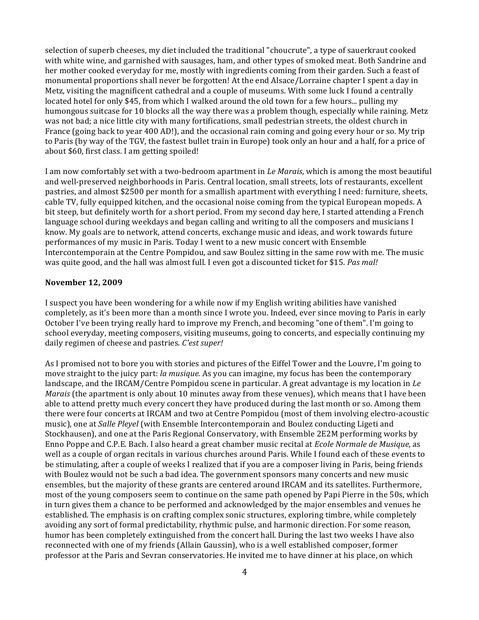selection of superb cheeses, my diet included the traditional "choucrute", a type of sauerkraut cooked with white wine, and garnished with sausages, ham, and other types of smoked meat. Both Sandrine and her mother cooked everyday for me, mostly with ingredients coming from their garden. Such a feast of monumental proportions shall never be forgotten! At the end Alsace/Lorraine chapter I spent a day in Metz, visiting the magnificent cathedral and a couple of museums. With some luck I found a centrally located hotel for only \$45, from which I walked around the old town for a few hours... pulling my humongous suitcase for 10 blocks all the way there was a problem though, especially while raining. Metz was not bad; a nice little city with many fortifications, small pedestrian streets, the oldest church in France (going back to year 400 AD!), and the occasional rain coming and going every hour or so. My trip to Paris (by way of the TGV, the fastest bullet train in Europe) took only an hour and a half, for a price of about \$60, first class. I am getting spoiled!

I am now comfortably set with a two-bedroom apartment in *Le Marais*, which is among the most beautiful and well-preserved neighborhoods in Paris. Central location, small streets, lots of restaurants, excellent pastries, and almost \$2500 per month for a smallish apartment with everything I need: furniture, sheets, cable TV, fully equipped kitchen, and the occasional noise coming from the typical European mopeds. A bit steep, but definitely worth for a short period. From my second day here, I started attending a French language school during weekdays and began calling and writing to all the composers and musicians I know. My goals are to network, attend concerts, exchange music and ideas, and work towards future performances of my music in Paris. Today I went to a new music concert with Ensemble Intercontemporain at the Centre Pompidou, and saw Boulez sitting in the same row with me. The music was quite good, and the hall was almost full. I even got a discounted ticket for \$15. Pas mal!

### **November 12, 2009**

I suspect you have been wondering for a while now if my English writing abilities have vanished completely, as it's been more than a month since I wrote you. Indeed, ever since moving to Paris in early October I've been trying really hard to improve my French, and becoming "one of them". I'm going to school everyday, meeting composers, visiting museums, going to concerts, and especially continuing my daily regimen of cheese and pastries. *C'est super!* 

As I promised not to bore you with stories and pictures of the Eiffel Tower and the Louvre, I'm going to move straight to the juicy part: *la musique.* As you can imagine, my focus has been the contemporary landscape, and the IRCAM/Centre Pompidou scene in particular. A great advantage is my location in *Le Marais* (the apartment is only about 10 minutes away from these venues), which means that I have been able to attend pretty much every concert they have produced during the last month or so. Among them there were four concerts at IRCAM and two at Centre Pompidou (most of them involving electro-acoustic music), one at *Salle Pleyel* (with Ensemble Intercontemporain and Boulez conducting Ligeti and Stockhausen), and one at the Paris Regional Conservatory, with Ensemble 2E2M performing works by Enno Poppe and C.P.E. Bach. I also heard a great chamber music recital at *Ecole Normale de Musique*, as well as a couple of organ recitals in various churches around Paris. While I found each of these events to be stimulating, after a couple of weeks I realized that if you are a composer living in Paris, being friends with Boulez would not be such a bad idea. The government sponsors many concerts and new music ensembles, but the majority of these grants are centered around IRCAM and its satellites. Furthermore, most of the young composers seem to continue on the same path opened by Papi Pierre in the 50s, which in turn gives them a chance to be performed and acknowledged by the major ensembles and venues he established. The emphasis is on crafting complex sonic structures, exploring timbre, while completely avoiding any sort of formal predictability, rhythmic pulse, and harmonic direction. For some reason, humor has been completely extinguished from the concert hall. During the last two weeks I have also reconnected with one of my friends (Allain Gaussin), who is a well established composer, former professor at the Paris and Sevran conservatories. He invited me to have dinner at his place, on which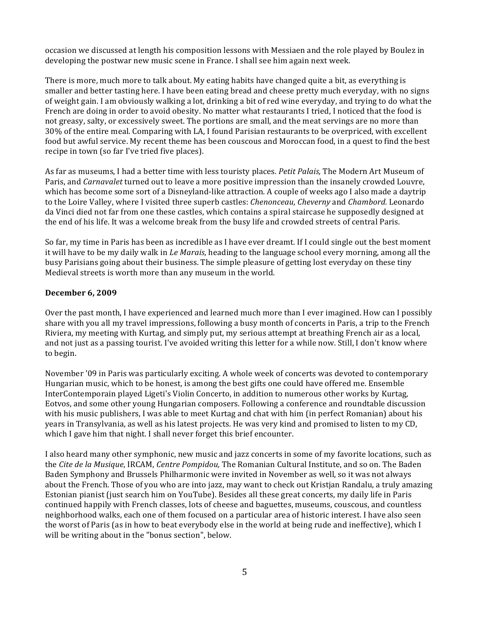occasion we discussed at length his composition lessons with Messiaen and the role played by Boulez in developing the postwar new music scene in France. I shall see him again next week.

There is more, much more to talk about. My eating habits have changed quite a bit, as everything is smaller and better tasting here. I have been eating bread and cheese pretty much everyday, with no signs of weight gain. I am obviously walking a lot, drinking a bit of red wine everyday, and trying to do what the French are doing in order to avoid obesity. No matter what restaurants I tried, I noticed that the food is not greasy, salty, or excessively sweet. The portions are small, and the meat servings are no more than 30% of the entire meal. Comparing with LA, I found Parisian restaurants to be overpriced, with excellent food but awful service. My recent theme has been couscous and Moroccan food, in a quest to find the best recipe in town (so far I've tried five places).

As far as museums, I had a better time with less touristy places. *Petit Palais*, The Modern Art Museum of Paris, and *Carnavalet* turned out to leave a more positive impression than the insanely crowded Louvre, which has become some sort of a Disneyland-like attraction. A couple of weeks ago I also made a daytrip to the Loire Valley, where I visited three superb castles: *Chenonceau, Cheverny* and *Chambord*. Leonardo da Vinci died not far from one these castles, which contains a spiral staircase he supposedly designed at the end of his life. It was a welcome break from the busy life and crowded streets of central Paris.

So far, my time in Paris has been as incredible as I have ever dreamt. If I could single out the best moment it will have to be my daily walk in *Le Marais*, heading to the language school every morning, among all the busy Parisians going about their business. The simple pleasure of getting lost everyday on these tiny Medieval streets is worth more than any museum in the world.

# **December 6, 2009**

Over the past month, I have experienced and learned much more than I ever imagined. How can I possibly share with you all my travel impressions, following a busy month of concerts in Paris, a trip to the French Riviera, my meeting with Kurtag, and simply put, my serious attempt at breathing French air as a local, and not just as a passing tourist. I've avoided writing this letter for a while now. Still, I don't know where to begin.

November '09 in Paris was particularly exciting. A whole week of concerts was devoted to contemporary Hungarian music, which to be honest, is among the best gifts one could have offered me. Ensemble InterContemporain played Ligeti's Violin Concerto, in addition to numerous other works by Kurtag, Eotvos, and some other young Hungarian composers. Following a conference and roundtable discussion with his music publishers, I was able to meet Kurtag and chat with him (in perfect Romanian) about his years in Transylvania, as well as his latest projects. He was very kind and promised to listen to my CD, which I gave him that night. I shall never forget this brief encounter.

I also heard many other symphonic, new music and jazz concerts in some of my favorite locations, such as the *Cite de la Musique*, IRCAM, *Centre Pompidou*, The Romanian Cultural Institute, and so on. The Baden Baden Symphony and Brussels Philharmonic were invited in November as well, so it was not always about the French. Those of you who are into jazz, may want to check out Kristjan Randalu, a truly amazing Estonian pianist (just search him on YouTube). Besides all these great concerts, my daily life in Paris continued happily with French classes, lots of cheese and baguettes, museums, couscous, and countless neighborhood walks, each one of them focused on a particular area of historic interest. I have also seen the worst of Paris (as in how to beat everybody else in the world at being rude and ineffective), which I will be writing about in the "bonus section", below.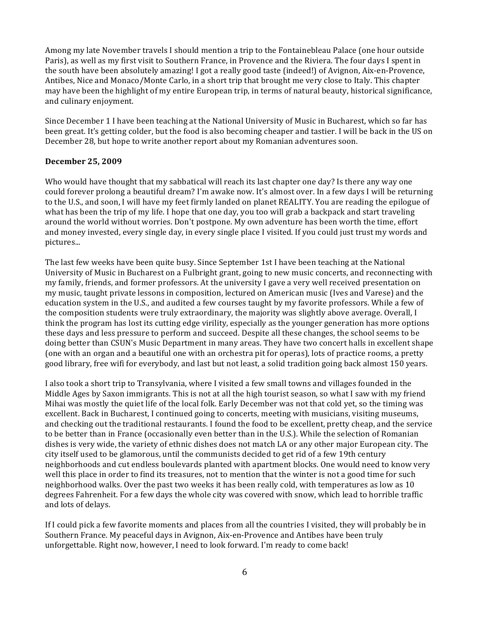Among my late November travels I should mention a trip to the Fontainebleau Palace (one hour outside Paris), as well as my first visit to Southern France, in Provence and the Riviera. The four days I spent in the south have been absolutely amazing! I got a really good taste (indeed!) of Avignon, Aix-en-Provence, Antibes, Nice and Monaco/Monte Carlo, in a short trip that brought me very close to Italy. This chapter may have been the highlight of my entire European trip, in terms of natural beauty, historical significance, and culinary enjoyment.

Since December 1 I have been teaching at the National University of Music in Bucharest, which so far has been great. It's getting colder, but the food is also becoming cheaper and tastier. I will be back in the US on December 28, but hope to write another report about my Romanian adventures soon.

### December 25, 2009

Who would have thought that my sabbatical will reach its last chapter one day? Is there any way one could forever prolong a beautiful dream? I'm awake now. It's almost over. In a few days I will be returning to the U.S., and soon, I will have my feet firmly landed on planet REALITY. You are reading the epilogue of what has been the trip of my life. I hope that one day, you too will grab a backpack and start traveling around the world without worries. Don't postpone. My own adventure has been worth the time, effort and money invested, every single day, in every single place I visited. If you could just trust my words and pictures...

The last few weeks have been quite busy. Since September 1st I have been teaching at the National University of Music in Bucharest on a Fulbright grant, going to new music concerts, and reconnecting with my family, friends, and former professors. At the university I gave a very well received presentation on my music, taught private lessons in composition, lectured on American music (Ives and Varese) and the education system in the U.S., and audited a few courses taught by my favorite professors. While a few of the composition students were truly extraordinary, the majority was slightly above average. Overall, I think the program has lost its cutting edge virility, especially as the younger generation has more options these days and less pressure to perform and succeed. Despite all these changes, the school seems to be doing better than CSUN's Music Department in many areas. They have two concert halls in excellent shape (one with an organ and a beautiful one with an orchestra pit for operas), lots of practice rooms, a pretty good library, free wifi for everybody, and last but not least, a solid tradition going back almost 150 years.

I also took a short trip to Transylvania, where I visited a few small towns and villages founded in the Middle Ages by Saxon immigrants. This is not at all the high tourist season, so what I saw with my friend Mihai was mostly the quiet life of the local folk. Early December was not that cold yet, so the timing was excellent. Back in Bucharest, I continued going to concerts, meeting with musicians, visiting museums, and checking out the traditional restaurants. I found the food to be excellent, pretty cheap, and the service to be better than in France (occasionally even better than in the U.S.). While the selection of Romanian dishes is very wide, the variety of ethnic dishes does not match LA or any other major European city. The city itself used to be glamorous, until the communists decided to get rid of a few 19th century neighborhoods and cut endless boulevards planted with apartment blocks. One would need to know very well this place in order to find its treasures, not to mention that the winter is not a good time for such neighborhood walks. Over the past two weeks it has been really cold, with temperatures as low as 10 degrees Fahrenheit. For a few days the whole city was covered with snow, which lead to horrible traffic and lots of delays.

If I could pick a few favorite moments and places from all the countries I visited, they will probably be in Southern France. My peaceful days in Avignon, Aix-en-Provence and Antibes have been truly unforgettable. Right now, however, I need to look forward. I'm ready to come back!